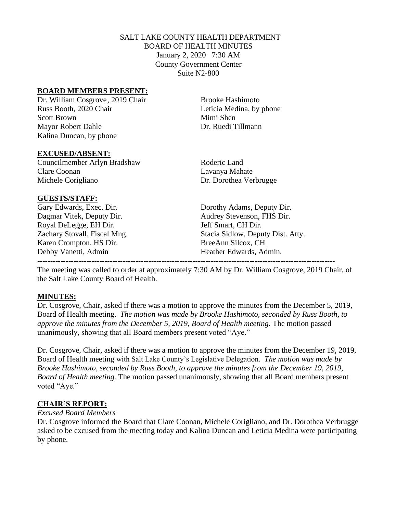## SALT LAKE COUNTY HEALTH DEPARTMENT BOARD OF HEALTH MINUTES January 2, 2020 7:30 AM County Government Center Suite N2-800

### **BOARD MEMBERS PRESENT:**

Dr. William Cosgrove, 2019 Chair Brooke Hashimoto Russ Booth, 2020 Chair Leticia Medina, by phone Scott Brown Mimi Shen Mayor Robert Dahle Dr. Ruedi Tillmann Kalina Duncan, by phone

#### **EXCUSED/ABSENT:**

Councilmember Arlyn Bradshaw Roderic Land Clare Coonan Lavanya Mahate Michele Corigliano Dr. Dorothea Verbrugge

### **GUESTS/STAFF:**

Royal DeLegge, EH Dir. Jeff Smart, CH Dir. Karen Crompton, HS Dir. BreeAnn Silcox, CH Debby Vanetti, Admin Heather Edwards, Admin.

Gary Edwards, Exec. Dir. Dorothy Adams, Deputy Dir. Dagmar Vitek, Deputy Dir. Audrey Stevenson, FHS Dir. Zachary Stovall, Fiscal Mng. Stacia Sidlow, Deputy Dist. Atty.

The meeting was called to order at approximately 7:30 AM by Dr. William Cosgrove, 2019 Chair, of the Salt Lake County Board of Health.

-------------------------------------------------------------------------------------------------------------------

#### **MINUTES:**

Dr. Cosgrove, Chair, asked if there was a motion to approve the minutes from the December 5, 2019, Board of Health meeting. *The motion was made by Brooke Hashimoto, seconded by Russ Booth, to approve the minutes from the December 5, 2019, Board of Health meeting.* The motion passed unanimously, showing that all Board members present voted "Aye."

Dr. Cosgrove, Chair, asked if there was a motion to approve the minutes from the December 19, 2019, Board of Health meeting with Salt Lake County's Legislative Delegation. *The motion was made by Brooke Hashimoto, seconded by Russ Booth, to approve the minutes from the December 19, 2019, Board of Health meeting.* The motion passed unanimously, showing that all Board members present voted "Aye."

### **CHAIR'S REPORT:**

#### *Excused Board Members*

Dr. Cosgrove informed the Board that Clare Coonan, Michele Corigliano, and Dr. Dorothea Verbrugge asked to be excused from the meeting today and Kalina Duncan and Leticia Medina were participating by phone.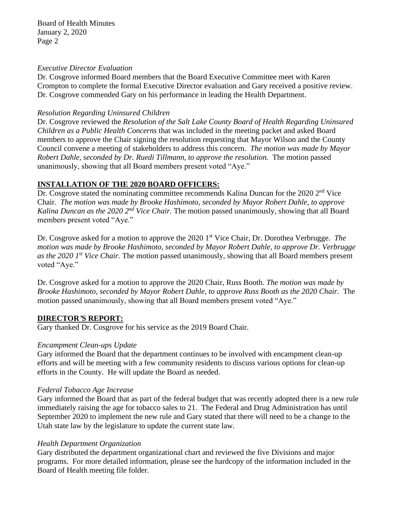Board of Health Minutes January 2, 2020 Page 2

#### *Executive Director Evaluation*

Dr. Cosgrove informed Board members that the Board Executive Committee meet with Karen Crompton to complete the formal Executive Director evaluation and Gary received a positive review. Dr. Cosgrove commended Gary on his performance in leading the Health Department.

#### *Resolution Regarding Uninsured Children*

Dr. Cosgrove reviewed the *Resolution of the Salt Lake County Board of Health Regarding Uninsured Children as a Public Health Concerns* that was included in the meeting packet and asked Board members to approve the Chair signing the resolution requesting that Mayor Wilson and the County Council convene a meeting of stakeholders to address this concern. *The motion was made by Mayor Robert Dahle, seconded by Dr. Ruedi Tillmann, to approve the resolution.* The motion passed unanimously, showing that all Board members present voted "Aye."

#### **INSTALLATION OF THE 2020 BOARD OFFICERS:**

Dr. Cosgrove stated the nominating committee recommends Kalina Duncan for the 2020 2<sup>nd</sup> Vice Chair. *The motion was made by Brooke Hashimoto, seconded by Mayor Robert Dahle, to approve Kalina Duncan as the 2020 2<sup>nd</sup> Vice Chair.* The motion passed unanimously, showing that all Board members present voted "Aye."

Dr. Cosgrove asked for a motion to approve the 2020 1 st Vice Chair, Dr. Dorothea Verbrugge. *The motion was made by Brooke Hashimoto, seconded by Mayor Robert Dahle, to approve Dr. Verbrugge as the 2020 1 st Vice Chair.* The motion passed unanimously, showing that all Board members present voted "Aye."

Dr. Cosgrove asked for a motion to approve the 2020 Chair, Russ Booth. *The motion was made by Brooke Hashimoto, seconded by Mayor Robert Dahle, to approve Russ Booth as the 2020 Chair.* The motion passed unanimously, showing that all Board members present voted "Aye."

#### **DIRECTOR***'***S REPORT:**

Gary thanked Dr. Cosgrove for his service as the 2019 Board Chair.

#### *Encampment Clean-ups Update*

Gary informed the Board that the department continues to be involved with encampment clean-up efforts and will be meeting with a few community residents to discuss various options for clean-up efforts in the County. He will update the Board as needed.

#### *Federal Tobacco Age Increase*

Gary informed the Board that as part of the federal budget that was recently adopted there is a new rule immediately raising the age for tobacco sales to 21. The Federal and Drug Administration has until September 2020 to implement the new rule and Gary stated that there will need to be a change to the Utah state law by the legislature to update the current state law.

#### *Health Department Organization*

Gary distributed the department organizational chart and reviewed the five Divisions and major programs. For more detailed information, please see the hardcopy of the information included in the Board of Health meeting file folder.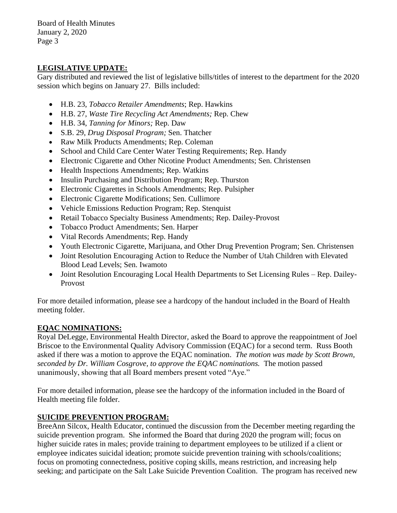Board of Health Minutes January 2, 2020 Page 3

## **LEGISLATIVE UPDATE:**

Gary distributed and reviewed the list of legislative bills/titles of interest to the department for the 2020 session which begins on January 27. Bills included:

- H.B. 23, *Tobacco Retailer Amendments*; Rep. Hawkins
- H.B. 27, *Waste Tire Recycling Act Amendments;* Rep. Chew
- H.B. 34, *Tanning for Minors;* Rep. Daw
- S.B. 29, *Drug Disposal Program;* Sen. Thatcher
- Raw Milk Products Amendments; Rep. Coleman
- School and Child Care Center Water Testing Requirements; Rep. Handy
- Electronic Cigarette and Other Nicotine Product Amendments; Sen. Christensen
- Health Inspections Amendments; Rep. Watkins
- Insulin Purchasing and Distribution Program; Rep. Thurston
- Electronic Cigarettes in Schools Amendments; Rep. Pulsipher
- Electronic Cigarette Modifications; Sen. Cullimore
- Vehicle Emissions Reduction Program; Rep. Stenquist
- Retail Tobacco Specialty Business Amendments; Rep. Dailey-Provost
- Tobacco Product Amendments; Sen. Harper
- Vital Records Amendments; Rep. Handy
- Youth Electronic Cigarette, Marijuana, and Other Drug Prevention Program; Sen. Christensen
- Joint Resolution Encouraging Action to Reduce the Number of Utah Children with Elevated Blood Lead Levels; Sen. Iwamoto
- Joint Resolution Encouraging Local Health Departments to Set Licensing Rules Rep. Dailey-Provost

For more detailed information, please see a hardcopy of the handout included in the Board of Health meeting folder.

# **EQAC NOMINATIONS:**

Royal DeLegge, Environmental Health Director, asked the Board to approve the reappointment of Joel Briscoe to the Environmental Quality Advisory Commission (EQAC) for a second term. Russ Booth asked if there was a motion to approve the EQAC nomination. *The motion was made by Scott Brown, seconded by Dr. William Cosgrove, to approve the EQAC nominations.* The motion passed unanimously, showing that all Board members present voted "Aye."

For more detailed information, please see the hardcopy of the information included in the Board of Health meeting file folder.

# **SUICIDE PREVENTION PROGRAM:**

BreeAnn Silcox, Health Educator, continued the discussion from the December meeting regarding the suicide prevention program. She informed the Board that during 2020 the program will; focus on higher suicide rates in males; provide training to department employees to be utilized if a client or employee indicates suicidal ideation; promote suicide prevention training with schools/coalitions; focus on promoting connectedness, positive coping skills, means restriction, and increasing help seeking; and participate on the Salt Lake Suicide Prevention Coalition. The program has received new